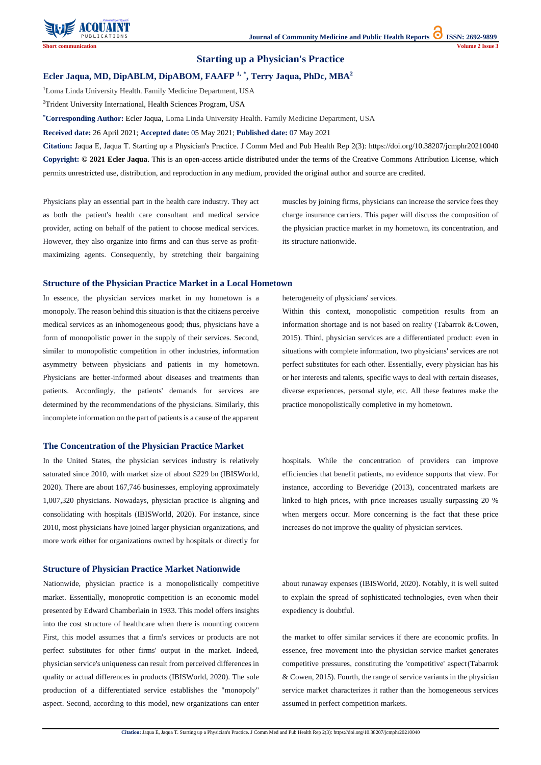**Citation:** Jaqua E, Jaqua T. Starting up a Physician's Practice. J Comm Med and Pub Health Rep 2(3): https://doi.org/10.38207/jcmphr20210040



# **Starting up a Physician's Practice**

### **Ecler Jaqua, MD, DipABLM, DipABOM, FAAFP 1, \* , Terry Jaqua, PhDc, MBA<sup>2</sup>**

<sup>1</sup>Loma Linda University Health. Family Medicine Department, USA

<sup>2</sup>Trident University International, Health Sciences Program, USA

**\*Corresponding Author:** Ecler Jaqua, Loma Linda University Health. Family Medicine Department, USA

**Received date:** 26 April 2021; **Accepted date:** 05 May 2021; **Published date:** 07 May 2021

**Citation:** Jaqua E, Jaqua T. Starting up a Physician's Practice. J Comm Med and Pub Health Rep 2(3): https://doi.org/10.38207/jcmphr20210040 **Copyright: © 2021 Ecler Jaqua**. This is an open-access article distributed under the terms of the Creative Commons Attribution License, which permits unrestricted use, distribution, and reproduction in any medium, provided the original author and source are credited.

Physicians play an essential part in the health care industry. They act as both the patient's health care consultant and medical service provider, acting on behalf of the patient to choose medical services. However, they also organize into firms and can thus serve as profitmaximizing agents. Consequently, by stretching their bargaining muscles by joining firms, physicians can increase the service fees they charge insurance carriers. This paper will discuss the composition of the physician practice market in my hometown, its concentration, and its structure nationwide.

#### **Structure of the Physician Practice Market in a Local Hometown**

In essence, the physician services market in my hometown is a monopoly. The reason behind this situation is that the citizens perceive medical services as an inhomogeneous good; thus, physicians have a form of monopolistic power in the supply of their services. Second, similar to monopolistic competition in other industries, information asymmetry between physicians and patients in my hometown. Physicians are better-informed about diseases and treatments than patients. Accordingly, the patients' demands for services are determined by the recommendations of the physicians. Similarly, this incomplete information on the part of patients is a cause of the apparent heterogeneity of physicians' services.

Within this context, monopolistic competition results from an information shortage and is not based on reality (Tabarrok  $&$  Cowen, 2015). Third, physician services are a differentiated product: even in situations with complete information, two physicians' services are not perfect substitutes for each other. Essentially, every physician has his or her interests and talents, specific ways to deal with certain diseases, diverse experiences, personal style, etc. All these features make the practice monopolistically completive in my hometown.

#### **The Concentration of the Physician Practice Market**

In the United States, the physician services industry is relatively saturated since 2010, with market size of about \$229 bn (IBISWorld, 2020). There are about 167,746 businesses, employing approximately 1,007,320 physicians. Nowadays, physician practice is aligning and consolidating with hospitals (IBISWorld, 2020). For instance, since 2010, most physicians have joined larger physician organizations, and more work either for organizations owned by hospitals or directly for

hospitals. While the concentration of providers can improve efficiencies that benefit patients, no evidence supports that view. For instance, according to Beveridge (2013), concentrated markets are linked to high prices, with price increases usually surpassing 20 % when mergers occur. More concerning is the fact that these price increases do not improve the quality of physician services.

#### **Structure of Physician Practice Market Nationwide**

about runaway expenses (IBISWorld, 2020). Notably, it is well suited to explain the spread of sophisticated technologies, even when their expediency is doubtful.

Nationwide, physician practice is a monopolistically competitive market. Essentially, monoprotic competition is an economic model presented by Edward Chamberlain in 1933. This model offers insights into the cost structure of healthcare when there is mounting concern First, this model assumes that a firm's services or products are not perfect substitutes for other firms' output in the market. Indeed, physician service's uniqueness can result from perceived differences in quality or actual differences in products (IBISWorld, 2020). The sole production of a differentiated service establishes the "monopoly" aspect. Second, according to this model, new organizations can enter

the market to offer similar services if there are economic profits. In essence, free movement into the physician service market generates competitive pressures, constituting the 'competitive' aspect(Tabarrok & Cowen, 2015). Fourth, the range of service variants in the physician service market characterizes it rather than the homogeneous services assumed in perfect competition markets.